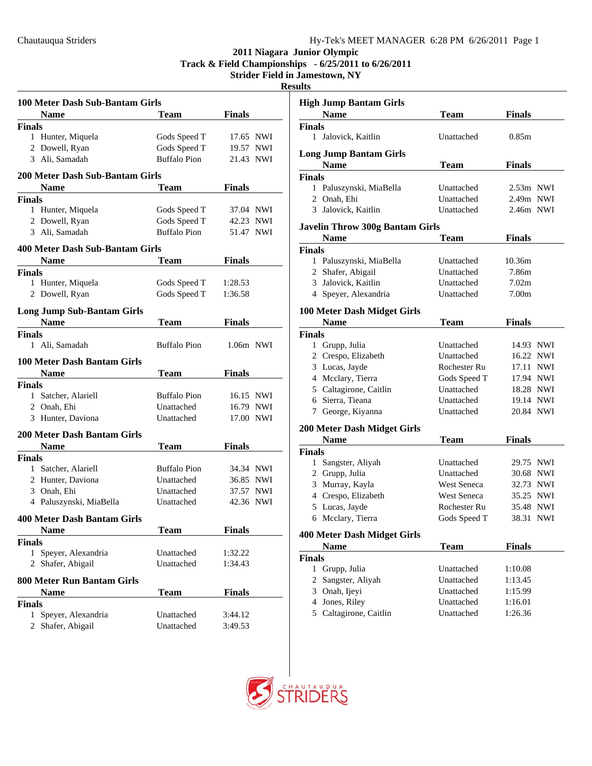**Track & Field Championships - 6/25/2011 to 6/26/2011**

**Strider Field in Jamestown, NY**

**Resu** 

| 100 Meter Dash Sub-Bantam Girls    |                     |               |
|------------------------------------|---------------------|---------------|
| <b>Name</b>                        | <b>Team</b>         | <b>Finals</b> |
| <b>Finals</b>                      |                     |               |
| 1 Hunter, Miquela                  | Gods Speed T        | 17.65 NWI     |
| 2 Dowell, Ryan                     | Gods Speed T        | 19.57 NWI     |
| 3 Ali, Samadah                     | <b>Buffalo Pion</b> | 21.43 NWI     |
| 200 Meter Dash Sub-Bantam Girls    |                     |               |
| <b>Name</b>                        | <b>Team</b>         | <b>Finals</b> |
| <b>Finals</b>                      |                     |               |
| 1 Hunter, Miquela                  | Gods Speed T        | 37.04 NWI     |
| 2 Dowell, Ryan                     | Gods Speed T        | 42.23 NWI     |
| 3 Ali, Samadah                     | <b>Buffalo Pion</b> | 51.47 NWI     |
| 400 Meter Dash Sub-Bantam Girls    |                     |               |
| <b>Name</b>                        | <b>Team</b>         | Finals        |
| <b>Finals</b>                      |                     |               |
| 1 Hunter, Miquela                  | Gods Speed T        | 1:28.53       |
| 2 Dowell, Ryan                     | Gods Speed T        | 1:36.58       |
| <b>Long Jump Sub-Bantam Girls</b>  |                     |               |
| <b>Name</b>                        | <b>Team</b>         | <b>Finals</b> |
| <b>Finals</b>                      |                     |               |
| 1 Ali, Samadah                     | <b>Buffalo Pion</b> | 1.06m NWI     |
| 100 Meter Dash Bantam Girls        |                     |               |
| <b>Name</b>                        | <b>Team</b>         | <b>Finals</b> |
| <b>Finals</b>                      |                     |               |
| 1 Satcher, Alariell                | <b>Buffalo Pion</b> | 16.15 NWI     |
| 2 Onah, Ehi                        | Unattached          | 16.79 NWI     |
| 3 Hunter, Daviona                  | Unattached          | 17.00 NWI     |
| <b>200 Meter Dash Bantam Girls</b> |                     |               |
| <b>Name</b>                        | <b>Team</b>         | <b>Finals</b> |
| <b>Finals</b>                      |                     |               |
| 1 Satcher, Alariell                | <b>Buffalo Pion</b> | 34.34 NWI     |
| 2 Hunter, Daviona                  | Unattached          | 36.85 NWI     |
| 3 Onah, Ehi                        | Unattached          | 37.57 NWI     |
| 4 Paluszynski, MiaBella            | Unattached          | 42.36 NWI     |
| 400 Meter Dash Bantam Girls        |                     |               |
| <b>Name</b>                        | Team                | Finals        |
| <b>Finals</b>                      |                     |               |
| Speyer, Alexandria<br>1            | Unattached          | 1:32.22       |
| 2 Shafer, Abigail                  | Unattached          | 1:34.43       |
| <b>800 Meter Run Bantam Girls</b>  |                     |               |
| <b>Name</b>                        | <b>Team</b>         | <b>Finals</b> |
| <b>Finals</b>                      |                     |               |
| 1 Speyer, Alexandria               | Unattached          | 3:44.12       |
| 2 Shafer, Abigail                  | Unattached          | 3:49.53       |
|                                    |                     |               |

| ılts          |                                        |                    |               |     |
|---------------|----------------------------------------|--------------------|---------------|-----|
|               | <b>High Jump Bantam Girls</b>          |                    |               |     |
|               | <b>Name</b>                            | Team               | <b>Finals</b> |     |
| Finals        |                                        |                    |               |     |
| 1             | Jalovick, Kaitlin                      | Unattached         | 0.85m         |     |
|               | <b>Long Jump Bantam Girls</b>          |                    |               |     |
|               | Name                                   | Team               | Finals        |     |
| <b>Finals</b> |                                        |                    |               |     |
|               | 1 Paluszynski, MiaBella                | Unattached         | $2.53m$ NWI   |     |
|               | 2 Onah, Ehi                            | Unattached         | 2.49m NWI     |     |
| 3             | Jalovick, Kaitlin                      | Unattached         | $2.46m$ NWI   |     |
|               | <b>Javelin Throw 300g Bantam Girls</b> |                    |               |     |
|               | <b>Name</b>                            | Team               | <b>Finals</b> |     |
| <b>Finals</b> |                                        |                    |               |     |
|               | 1 Paluszynski, MiaBella                | Unattached         | 10.36m        |     |
|               | 2 Shafer, Abigail                      | Unattached         | 7.86m         |     |
|               | 3 Jalovick, Kaitlin                    | Unattached         | 7.02m         |     |
|               | 4 Speyer, Alexandria                   | Unattached         | 7.00m         |     |
|               | 100 Meter Dash Midget Girls            |                    |               |     |
|               | <b>Name</b>                            | Team               | Finals        |     |
| <b>Finals</b> |                                        |                    |               |     |
|               | 1 Grupp, Julia                         | Unattached         | 14.93 NWI     |     |
|               | 2 Crespo, Elizabeth                    | Unattached         | 16.22 NWI     |     |
|               | 3 Lucas, Jayde                         | Rochester Ru       | 17.11         | NWI |
|               | 4 Mcclary, Tierra                      | Gods Speed T       | 17.94 NWI     |     |
|               | 5 Caltagirone, Caitlin                 | Unattached         | 18.28 NWI     |     |
|               | 6 Sierra, Tieana                       | Unattached         | 19.14 NWI     |     |
|               | 7 George, Kiyanna                      | Unattached         | 20.84 NWI     |     |
|               | 200 Meter Dash Midget Girls            |                    |               |     |
|               | <b>Name</b>                            | Team               | Finals        |     |
| <b>Finals</b> |                                        |                    |               |     |
| $\mathbf{1}$  | Sangster, Aliyah                       | Unattached         | 29.75 NWI     |     |
|               | 2 Grupp, Julia                         | Unattached         | 30.68         | NWI |
|               | 3 Murray, Kayla                        | <b>West Seneca</b> | 32.73         | NWI |
|               | 4 Crespo, Elizabeth                    | West Seneca        | 35.25         | NWI |
|               | 5 Lucas, Jayde                         | Rochester Ru       | 35.48         | NWI |
|               | 6 Mcclary, Tierra                      | Gods Speed T       | 38.31 NWI     |     |
|               | <b>400 Meter Dash Midget Girls</b>     |                    |               |     |
|               | Name                                   | <b>Team</b>        | <b>Finals</b> |     |
| <b>Finals</b> |                                        |                    |               |     |
|               | 1 Grupp, Julia                         | Unattached         | 1:10.08       |     |
|               | 2 Sangster, Aliyah                     | Unattached         | 1:13.45       |     |
|               | 3 Onah, Ijeyi                          | Unattached         | 1:15.99       |     |
|               | 4 Jones, Riley                         | Unattached         | 1:16.01       |     |
|               | 5 Caltagirone, Caitlin                 | Unattached         | 1:26.36       |     |

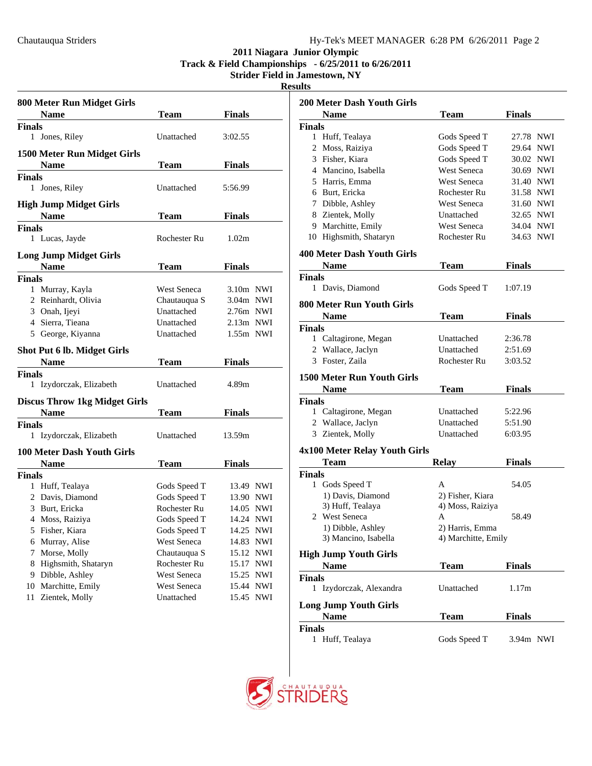### **2011 Niagara Junior Olympic Track & Field Championships - 6/25/2011 to 6/26/2011**

**Strider Field in Jamestown, NY Results**

| ш<br>۰.<br>. . |  |
|----------------|--|
|                |  |

|               | 800 Meter Run Midget Girls           |                    |                     |  |
|---------------|--------------------------------------|--------------------|---------------------|--|
|               | <b>Name</b>                          | Team               | <b>Finals</b>       |  |
| <b>Finals</b> |                                      |                    |                     |  |
| $\mathbf{1}$  | Jones, Riley                         | Unattached         | 3:02.55             |  |
|               | 1500 Meter Run Midget Girls          |                    |                     |  |
|               | <b>Name</b>                          | Team               | Finals              |  |
| <b>Finals</b> |                                      |                    |                     |  |
| 1             | Jones, Riley                         | Unattached         | 5:56.99             |  |
|               | <b>High Jump Midget Girls</b>        |                    |                     |  |
|               | <b>Name</b>                          | <b>Team</b>        | Finals              |  |
| <b>Finals</b> | 1 Lucas, Jayde                       | Rochester Ru       | 1.02m               |  |
|               | <b>Long Jump Midget Girls</b>        |                    |                     |  |
|               | <b>Name</b>                          | Team               | Finals              |  |
| <b>Finals</b> |                                      |                    |                     |  |
|               | 1 Murray, Kayla                      | West Seneca        | $3.10m$ NWI         |  |
|               | 2 Reinhardt, Olivia                  | Chautauqua S       | 3.04m NWI           |  |
|               | 3 Onah, Ijeyi                        | Unattached         | $2.76m$ NWI         |  |
|               | 4 Sierra, Tieana                     | Unattached         | $2.13m$ NWI         |  |
|               | 5 George, Kiyanna                    | Unattached         | 1.55m NWI           |  |
|               | <b>Shot Put 6 lb. Midget Girls</b>   |                    |                     |  |
|               | Name                                 | Team               | Finals              |  |
| <b>Finals</b> |                                      |                    |                     |  |
| 1             | Izydorczak, Elizabeth                | Unattached         | 4.89m               |  |
|               | <b>Discus Throw 1kg Midget Girls</b> |                    |                     |  |
|               | <b>Name</b>                          | <b>Team</b>        | <b>Finals</b>       |  |
| <b>Finals</b> |                                      |                    |                     |  |
|               | 1 Izydorczak, Elizabeth              | Unattached         | 13.59m              |  |
|               | 100 Meter Dash Youth Girls           |                    |                     |  |
|               | <b>Name</b>                          | <b>Team</b>        | Finals              |  |
| <b>Finals</b> |                                      |                    |                     |  |
|               | 1 Huff, Tealaya                      | Gods Speed T       | 13.49 NWI           |  |
|               | 2 Davis, Diamond                     | Gods Speed T       | 13.90 NWI           |  |
|               | 3 Burt, Ericka                       | Rochester Ru       | 14.05<br><b>NWI</b> |  |
|               | 4 Moss, Raiziya                      | Gods Speed T       | 14.24 NWI           |  |
| 5             | Fisher, Kiara                        | Gods Speed T       | 14.25<br><b>NWI</b> |  |
| 6             | Murray, Alise                        | West Seneca        | 14.83<br><b>NWI</b> |  |
| 7             | Morse, Molly                         | Chautauqua S       | 15.12<br><b>NWI</b> |  |
| 8             | Highsmith, Shataryn                  | Rochester Ru       | 15.17<br><b>NWI</b> |  |
| 9             | Dibble, Ashley                       | <b>West Seneca</b> | 15.25<br><b>NWI</b> |  |
| 10            | Marchitte, Emily                     | West Seneca        | 15.44<br><b>NWI</b> |  |
| 11            | Zientek, Molly                       | Unattached         | 15.45<br><b>NWI</b> |  |

| <b>200 Meter Dash Youth Girls</b>         |                     |               |  |
|-------------------------------------------|---------------------|---------------|--|
| <b>Name</b>                               | Team                | Finals        |  |
| <b>Finals</b>                             |                     |               |  |
| Huff, Tealaya<br>1                        | Gods Speed T        | 27.78 NWI     |  |
| 2 Moss, Raiziya                           | Gods Speed T        | 29.64 NWI     |  |
| 3 Fisher, Kiara                           | Gods Speed T        | 30.02 NWI     |  |
| 4 Mancino, Isabella                       | <b>West Seneca</b>  | 30.69 NWI     |  |
| 5 Harris, Emma                            | West Seneca         | 31.40 NWI     |  |
| 6 Burt, Ericka                            | Rochester Ru        | 31.58 NWI     |  |
| 7 Dibble, Ashley                          | West Seneca         | 31.60 NWI     |  |
| 8 Zientek, Molly                          | Unattached          | 32.65 NWI     |  |
| 9 Marchitte, Emily                        | <b>West Seneca</b>  | 34.04 NWI     |  |
| 10 Highsmith, Shataryn                    | Rochester Ru        | 34.63 NWI     |  |
|                                           |                     |               |  |
| 400 Meter Dash Youth Girls<br><b>Name</b> |                     | Finals        |  |
|                                           | Team                |               |  |
| <b>Finals</b><br>Davis, Diamond<br>1      | Gods Speed T        | 1:07.19       |  |
| <b>800 Meter Run Youth Girls</b>          |                     |               |  |
| <b>Name</b>                               | Team                | Finals        |  |
|                                           |                     |               |  |
| <b>Finals</b><br>1 Caltagirone, Megan     | Unattached          | 2:36.78       |  |
| 2 Wallace, Jaclyn                         | Unattached          | 2:51.69       |  |
| 3 Foster, Zaila                           | Rochester Ru        | 3:03.52       |  |
|                                           |                     |               |  |
| 1500 Meter Run Youth Girls                |                     |               |  |
| <b>Name</b>                               | Team                | <b>Finals</b> |  |
| <b>Finals</b>                             |                     |               |  |
| 1 Caltagirone, Megan                      | Unattached          | 5:22.96       |  |
| 2 Wallace, Jaclyn                         | Unattached          | 5:51.90       |  |
| 3 Zientek, Molly                          | Unattached          | 6:03.95       |  |
| 4x100 Meter Relay Youth Girls             |                     |               |  |
| Team                                      | <b>Relay</b>        | Finals        |  |
| <b>Finals</b>                             |                     |               |  |
| Gods Speed T<br>1                         | А                   | 54.05         |  |
| 1) Davis, Diamond                         | 2) Fisher, Kiara    |               |  |
| 3) Huff, Tealaya                          | 4) Moss, Raiziya    |               |  |
| 2 West Seneca                             | Α                   | 58.49         |  |
| 1) Dibble, Ashley                         | 2) Harris, Emma     |               |  |
| 3) Mancino, Isabella                      | 4) Marchitte, Emily |               |  |
| <b>High Jump Youth Girls</b>              |                     |               |  |
| <b>Name</b>                               | Team                | Finals        |  |
| <b>Finals</b>                             |                     |               |  |
| 1 Izydorczak, Alexandra                   | Unattached          | 1.17m         |  |
| <b>Long Jump Youth Girls</b>              |                     |               |  |
| <b>Name</b>                               | Team                | <b>Finals</b> |  |
| <b>Finals</b><br>1<br>Huff, Tealaya       | Gods Speed T        | 3.94m NWI     |  |
|                                           |                     |               |  |

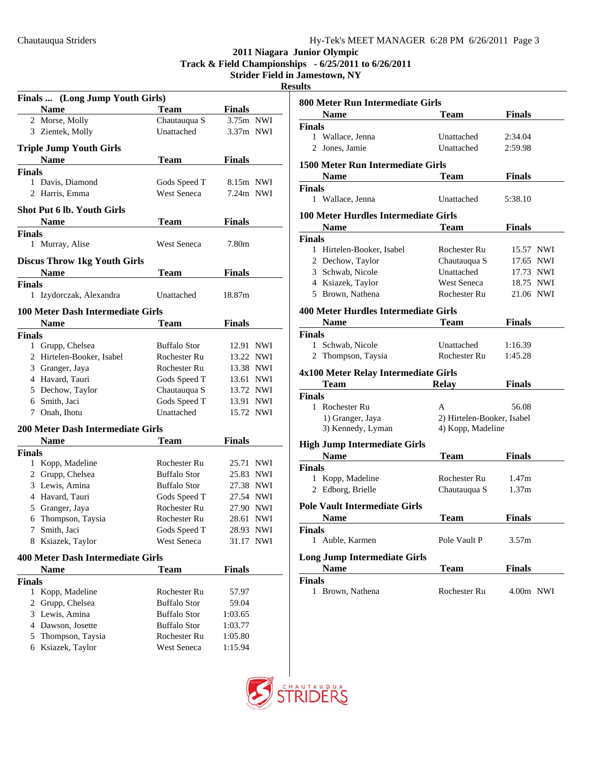**Track & Field Championships - 6/25/2011 to 6/26/2011**

# **Strider Field in Jamestown, NY**

**Results**

| Finals  (Long Jump Youth Girls)     |                     |                     |
|-------------------------------------|---------------------|---------------------|
| <b>Name</b>                         | <b>Team</b>         | <b>Finals</b>       |
| 2 Morse, Molly                      | Chautauqua S        | 3.75m NWI           |
| 3 Zientek, Molly                    | Unattached          | $3.37m$ NWI         |
| <b>Triple Jump Youth Girls</b>      |                     |                     |
| <b>Name</b>                         | <b>Team</b>         | <b>Finals</b>       |
| Finals                              |                     |                     |
| 1 Davis, Diamond                    | Gods Speed T        | 8.15m NWI           |
| 2 Harris, Emma                      | <b>West Seneca</b>  | 7.24m NWI           |
| <b>Shot Put 6 lb. Youth Girls</b>   |                     |                     |
| <b>Name</b>                         | <b>Team</b>         | <b>Finals</b>       |
| <b>Finals</b>                       |                     |                     |
| 1<br>Murray, Alise                  | West Seneca         | 7.80m               |
| <b>Discus Throw 1kg Youth Girls</b> |                     |                     |
| <b>Name</b>                         | Team                | <b>Finals</b>       |
| <b>Finals</b>                       |                     |                     |
| 1 Izydorczak, Alexandra             | Unattached          | 18.87m              |
|                                     |                     |                     |
| 100 Meter Dash Intermediate Girls   |                     |                     |
| <b>Name</b>                         | <b>Team</b>         | <b>Finals</b>       |
| <b>Finals</b>                       |                     |                     |
| 1 Grupp, Chelsea                    | <b>Buffalo Stor</b> | 12.91 NWI           |
| 2 Hirtelen-Booker, Isabel           | Rochester Ru        | 13.22 NWI           |
| 3 Granger, Jaya                     | Rochester Ru        | 13.38 NWI           |
| 4 Havard, Tauri                     | Gods Speed T        | 13.61 NWI           |
| 5 Dechow, Taylor                    | Chautauqua S        | 13.72 NWI           |
| 6 Smith, Jaci                       | Gods Speed T        | 13.91<br><b>NWI</b> |
| 7 Onah, Ihotu                       | Unattached          | 15.72 NWI           |
| 200 Meter Dash Intermediate Girls   |                     |                     |
| <b>Name</b>                         | Team                | Finals              |
| <b>Finals</b>                       |                     |                     |
| 1 Kopp, Madeline                    | Rochester Ru        | 25.71<br><b>NWI</b> |
| 2 Grupp, Chelsea                    | <b>Buffalo Stor</b> | 25.83 NWI           |
| 3 Lewis, Amina                      | <b>Buffalo Stor</b> | 27.38 NWI           |
| 4 Havard, Tauri                     | Gods Speed T        | 27.54 NWI           |
| 5 Granger, Jaya                     | Rochester Ru        | 27.90 NWI           |
| 6 Thompson, Taysia                  | Rochester Ru        | 28.61<br><b>NWI</b> |
| 7<br>Smith, Jaci                    | Gods Speed T        | 28.93 NWI           |
| 8 Ksiazek, Taylor                   | West Seneca         | 31.17 NWI           |
| 400 Meter Dash Intermediate Girls   |                     |                     |
| Name                                | <b>Team</b>         | Finals              |
| <b>Finals</b>                       |                     |                     |
| 1 Kopp, Madeline                    | Rochester Ru        | 57.97               |
| Grupp, Chelsea<br>2                 | <b>Buffalo Stor</b> | 59.04               |
| 3 Lewis, Amina                      | <b>Buffalo Stor</b> | 1:03.65             |
| 4 Dawson, Josette                   | <b>Buffalo Stor</b> | 1:03.77             |
| 5 Thompson, Taysia                  | Rochester Ru        | 1:05.80             |
| 6 Ksiazek, Taylor                   | <b>West Seneca</b>  | 1:15.94             |
|                                     |                     |                     |

|               | 800 Meter Run Intermediate Girls                   |                            |                   |  |
|---------------|----------------------------------------------------|----------------------------|-------------------|--|
|               | Name                                               | Team                       | <b>Finals</b>     |  |
| <b>Finals</b> |                                                    |                            |                   |  |
| 1             | Wallace, Jenna                                     | Unattached                 | 2:34.04           |  |
| 2             | Jones, Jamie                                       | Unattached                 | 2:59.98           |  |
|               | 1500 Meter Run Intermediate Girls                  |                            |                   |  |
|               | <b>Name</b>                                        | Team                       | <b>Finals</b>     |  |
| <b>Finals</b> |                                                    |                            |                   |  |
|               | 1 Wallace, Jenna                                   | Unattached                 | 5:38.10           |  |
|               | <b>100 Meter Hurdles Intermediate Girls</b>        |                            |                   |  |
|               | <b>Name</b>                                        | Team                       | Finals            |  |
| <b>Finals</b> |                                                    |                            |                   |  |
|               | 1 Hirtelen-Booker, Isabel                          | Rochester Ru               | 15.57 NWI         |  |
|               | 2 Dechow, Taylor                                   | Chautauqua S               | 17.65 NWI         |  |
|               | 3 Schwab, Nicole                                   | Unattached                 | 17.73 NWI         |  |
|               | 4 Ksiazek, Taylor                                  | <b>West Seneca</b>         | 18.75 NWI         |  |
|               | 5 Brown, Nathena                                   | Rochester Ru               | 21.06 NWI         |  |
|               | 400 Meter Hurdles Intermediate Girls               |                            |                   |  |
|               | Name                                               | <b>Team</b>                | <b>Finals</b>     |  |
| <b>Finals</b> |                                                    |                            |                   |  |
|               | 1 Schwab, Nicole                                   | Unattached                 | 1:16.39           |  |
| 2             | Thompson, Taysia                                   | Rochester Ru               | 1:45.28           |  |
|               | 4x100 Meter Relay Intermediate Girls               |                            |                   |  |
|               | Team                                               | <b>Relay</b>               | <b>Finals</b>     |  |
| <b>Finals</b> |                                                    |                            |                   |  |
|               | 1 Rochester Ru                                     | A                          | 56.08             |  |
|               | 1) Granger, Jaya                                   | 2) Hirtelen-Booker, Isabel |                   |  |
|               | 3) Kennedy, Lyman                                  | 4) Kopp, Madeline          |                   |  |
|               |                                                    |                            |                   |  |
|               | <b>High Jump Intermediate Girls</b><br><b>Name</b> |                            | <b>Finals</b>     |  |
| <b>Finals</b> |                                                    | 'I`eam                     |                   |  |
|               | 1 Kopp, Madeline                                   | Rochester Ru               | 1.47 <sub>m</sub> |  |
|               | 2 Edborg, Brielle                                  | Chautauqua S               | 1.37m             |  |
|               |                                                    |                            |                   |  |
|               | <b>Pole Vault Intermediate Girls</b>               |                            |                   |  |
|               | <b>Name</b>                                        | Team                       | <b>Finals</b>     |  |
| <b>Finals</b> |                                                    | Pole Vault P               |                   |  |
|               | 1 Auble, Karmen                                    |                            | 3.57m             |  |
|               | <b>Long Jump Intermediate Girls</b>                |                            |                   |  |
|               | <b>Name</b>                                        | Team                       | <b>Finals</b>     |  |
| <b>Finals</b> | 1 Brown, Nathena                                   | Rochester Ru               | 4.00m NWI         |  |
|               |                                                    |                            |                   |  |

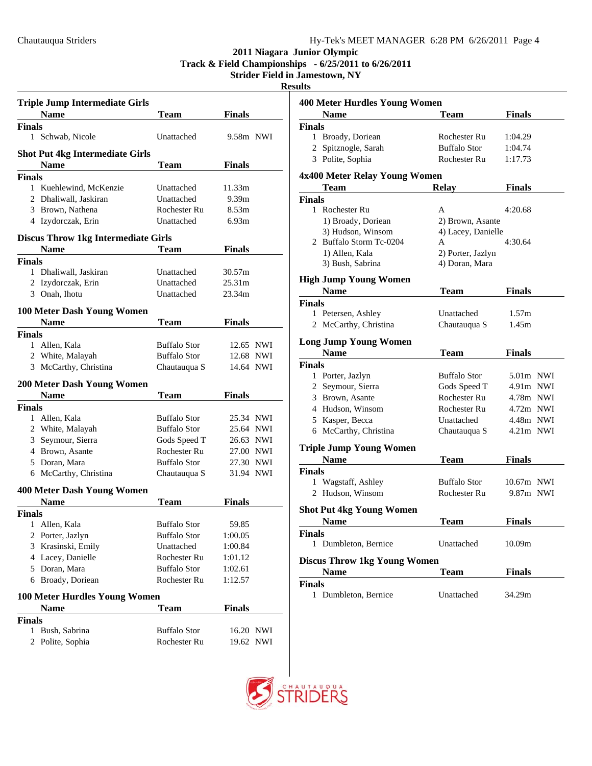**Track & Field Championships - 6/25/2011 to 6/26/2011**

| <b>Triple Jump Intermediate Girls</b>      |                     |                    |  |
|--------------------------------------------|---------------------|--------------------|--|
| <b>Name</b>                                | 'I`eam              | <b>Finals</b>      |  |
| <b>Finals</b>                              |                     |                    |  |
| 1 Schwab, Nicole                           | Unattached          | 9.58m NWI          |  |
| <b>Shot Put 4kg Intermediate Girls</b>     |                     |                    |  |
| <b>Name</b>                                | <b>Team</b>         | <b>Finals</b>      |  |
| <b>Finals</b>                              |                     |                    |  |
| 1 Kuehlewind, McKenzie                     | Unattached          | 11.33m             |  |
| 2 Dhaliwall, Jaskiran                      | Unattached          | 9.39 <sub>m</sub>  |  |
| 3 Brown, Nathena                           | Rochester Ru        | 8.53 <sub>m</sub>  |  |
| 4 Izydorczak, Erin                         | Unattached          | 6.93m              |  |
| <b>Discus Throw 1kg Intermediate Girls</b> |                     |                    |  |
| <b>Name</b>                                | <b>Team</b>         | <b>Finals</b>      |  |
| <b>Finals</b>                              |                     |                    |  |
| 1 Dhaliwall, Jaskiran                      | Unattached          | 30.57m             |  |
| 2 Izydorczak, Erin                         | Unattached          | 25.31 <sub>m</sub> |  |
| 3 Onah, Ihotu                              | Unattached          | 23.34m             |  |
| 100 Meter Dash Young Women                 |                     |                    |  |
| <b>Name</b>                                | <b>Team</b>         | <b>Finals</b>      |  |
| <b>Finals</b>                              |                     |                    |  |
| 1 Allen, Kala                              | <b>Buffalo Stor</b> | 12.65 NWI          |  |
| 2 White, Malayah                           | <b>Buffalo Stor</b> | 12.68 NWI          |  |
| 3 McCarthy, Christina                      | Chautauqua S        | 14.64 NWI          |  |
| 200 Meter Dash Young Women                 |                     |                    |  |
| <b>Name</b>                                | <b>Team</b>         | <b>Finals</b>      |  |
| <b>Finals</b>                              |                     |                    |  |
| 1 Allen, Kala                              | <b>Buffalo</b> Stor | 25.34 NWI          |  |
| 2 White, Malayah                           | <b>Buffalo Stor</b> | 25.64 NWI          |  |
| Seymour, Sierra<br>3                       | Gods Speed T        | 26.63 NWI          |  |
| 4 Brown, Asante                            | Rochester Ru        | 27.00 NWI          |  |
| 5 Doran, Mara                              | <b>Buffalo Stor</b> | 27.30 NWI          |  |
| 6 McCarthy, Christina                      | Chautauqua S        | 31.94 NWI          |  |
| <b>400 Meter Dash Young Women</b>          |                     |                    |  |
| <b>Name</b>                                | Team                | <b>Finals</b>      |  |
| Finals                                     |                     |                    |  |
| Allen, Kala<br>1                           | <b>Buffalo Stor</b> | 59.85              |  |
| 2 Porter, Jazlyn                           | <b>Buffalo Stor</b> | 1:00.05            |  |
| 3 Krasinski, Emily                         | Unattached          | 1:00.84            |  |
| 4 Lacey, Danielle                          | Rochester Ru        | 1:01.12            |  |
| 5 Doran, Mara                              | <b>Buffalo Stor</b> | 1:02.61            |  |
| 6 Broady, Doriean                          | Rochester Ru        | 1:12.57            |  |
| <b>100 Meter Hurdles Young Women</b>       |                     |                    |  |
| <b>Name</b>                                | <b>Team</b>         | <b>Finals</b>      |  |
|                                            |                     |                    |  |
|                                            |                     |                    |  |
| <b>Finals</b><br>Bush, Sabrina<br>1        | <b>Buffalo Stor</b> | 16.20 NWI          |  |

| <b>400 Meter Hurdles Young Women</b> |                     |               |  |
|--------------------------------------|---------------------|---------------|--|
| <b>Name</b>                          | <b>Team</b>         | <b>Finals</b> |  |
| <b>Finals</b>                        |                     |               |  |
| 1 Broady, Doriean                    | Rochester Ru        | 1:04.29       |  |
| 2 Spitznogle, Sarah                  | Buffalo Stor        | 1:04.74       |  |
| 3 Polite, Sophia                     | Rochester Ru        | 1:17.73       |  |
| 4x400 Meter Relay Young Women        |                     |               |  |
| <b>Team</b>                          | <b>Relay</b>        | <b>Finals</b> |  |
| <b>Finals</b>                        |                     |               |  |
| 1 Rochester Ru                       | A                   | 4:20.68       |  |
| 1) Broady, Doriean                   | 2) Brown, Asante    |               |  |
| 3) Hudson, Winsom                    | 4) Lacey, Danielle  |               |  |
| 2 Buffalo Storm Tc-0204              | А                   | 4:30.64       |  |
| 1) Allen, Kala                       | 2) Porter, Jazlyn   |               |  |
| 3) Bush, Sabrina                     | 4) Doran, Mara      |               |  |
| <b>High Jump Young Women</b>         |                     |               |  |
| <b>Name</b>                          | <b>Team</b>         | <b>Finals</b> |  |
| <b>Finals</b>                        |                     |               |  |
| 1 Petersen, Ashley                   | Unattached          | 1.57m         |  |
| 2 McCarthy, Christina                | Chautauqua S        | 1.45m         |  |
| <b>Long Jump Young Women</b>         |                     |               |  |
| <b>Name</b>                          | Team                | <b>Finals</b> |  |
| <b>Finals</b>                        |                     |               |  |
| 1 Porter, Jazlyn                     | <b>Buffalo Stor</b> | 5.01m NWI     |  |
| 2 Seymour, Sierra                    | Gods Speed T        | 4.91m NWI     |  |
| 3 Brown, Asante                      | Rochester Ru        | 4.78m NWI     |  |
| 4 Hudson, Winsom                     | Rochester Ru        | 4.72m NWI     |  |
| 5 Kasper, Becca                      | Unattached          | 4.48m NWI     |  |
| 6 McCarthy, Christina                | Chautauqua S        | $4.21m$ NWI   |  |
| <b>Triple Jump Young Women</b>       |                     |               |  |
| <b>Name</b>                          | <b>Team</b>         | <b>Finals</b> |  |
| <b>Finals</b>                        |                     |               |  |
| 1 Wagstaff, Ashley                   | <b>Buffalo Stor</b> | $10.67m$ NWI  |  |
| 2 Hudson, Winsom                     | Rochester Ru        | 9.87m NWI     |  |
| <b>Shot Put 4kg Young Women</b>      |                     |               |  |
| Name                                 | <b>Team</b>         | <b>Finals</b> |  |
| <b>Finals</b>                        |                     |               |  |
| 1 Dumbleton, Bernice                 | Unattached          | 10.09m        |  |
| <b>Discus Throw 1kg Young Women</b>  |                     |               |  |
| <b>Name</b>                          | <b>Team</b>         | <b>Finals</b> |  |
| <b>Finals</b>                        |                     |               |  |
| 1 Dumbleton, Bernice                 | Unattached          | 34.29m        |  |

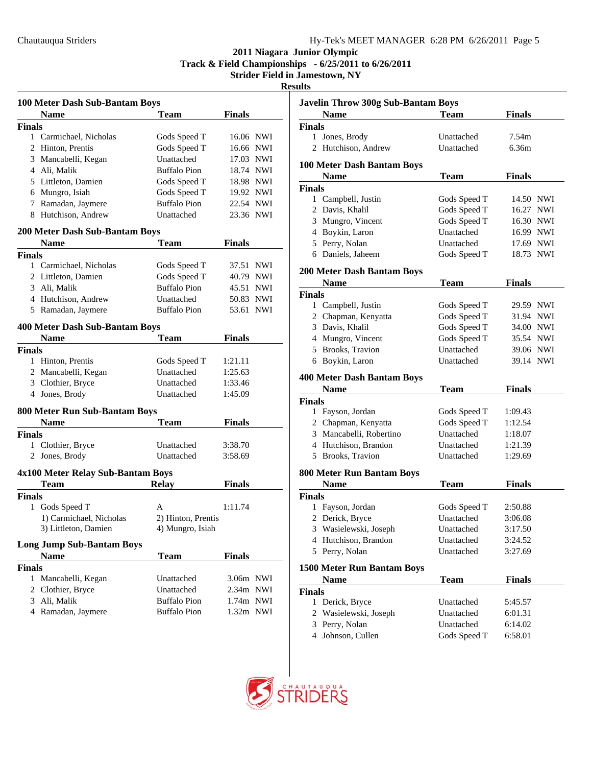**Track & Field Championships - 6/25/2011 to 6/26/2011**

| ш<br>s.<br>۰. |
|---------------|
|---------------|

| 100 Meter Dash Sub-Bantam Boys        |                     |                     |
|---------------------------------------|---------------------|---------------------|
| <b>Name</b>                           | <b>Team</b>         | <b>Finals</b>       |
| <b>Finals</b>                         |                     |                     |
| 1 Carmichael, Nicholas                | Gods Speed T        | 16.06 NWI           |
| 2 Hinton, Prentis                     | Gods Speed T        | 16.66 NWI           |
| 3 Mancabelli, Kegan                   | Unattached          | 17.03 NWI           |
| 4 Ali, Malik                          | <b>Buffalo Pion</b> | 18.74 NWI           |
| 5 Littleton, Damien                   | Gods Speed T        | 18.98 NWI           |
| 6 Mungro, Isiah                       | Gods Speed T        | 19.92 NWI           |
| 7 Ramadan, Jaymere                    | <b>Buffalo Pion</b> | 22.54 NWI           |
| 8 Hutchison, Andrew                   | Unattached          | 23.36 NWI           |
| <b>200 Meter Dash Sub-Bantam Boys</b> |                     |                     |
| <b>Name</b>                           | <b>Team</b>         | <b>Finals</b>       |
| <b>Finals</b>                         |                     |                     |
| 1 Carmichael, Nicholas                | Gods Speed T        | 37.51 NWI           |
| 2 Littleton, Damien                   | Gods Speed T        | 40.79 NWI           |
| 3 Ali, Malik                          | <b>Buffalo Pion</b> | 45.51 NWI           |
| 4 Hutchison, Andrew                   | Unattached          | 50.83 NWI           |
| 5 Ramadan, Jaymere                    | <b>Buffalo Pion</b> | 53.61<br><b>NWI</b> |
| <b>400 Meter Dash Sub-Bantam Boys</b> |                     |                     |
| <b>Name</b>                           | <b>Team</b>         | <b>Finals</b>       |
| <b>Finals</b>                         |                     |                     |
| 1 Hinton, Prentis                     | Gods Speed T        | 1:21.11             |
| 2 Mancabelli, Kegan                   | Unattached          | 1:25.63             |
| 3 Clothier, Bryce                     | Unattached          | 1:33.46             |
| 4 Jones, Brody                        | Unattached          | 1:45.09             |
|                                       |                     |                     |
| 800 Meter Run Sub-Bantam Boys         |                     |                     |
| <b>Name</b>                           | <b>Team</b>         | <b>Finals</b>       |
| <b>Finals</b>                         |                     |                     |
| 1 Clothier, Bryce                     | Unattached          | 3:38.70             |
| 2 Jones, Brody                        | Unattached          | 3:58.69             |
| 4x100 Meter Relay Sub-Bantam Boys     |                     |                     |
| Team                                  | <b>Relay</b>        | Finals              |
| <b>Finals</b>                         |                     |                     |
| Gods Speed T<br>1                     | A                   | 1:11.74             |
| 1) Carmichael, Nicholas               | 2) Hinton, Prentis  |                     |
| 3) Littleton, Damien                  | 4) Mungro, Isiah    |                     |
| <b>Long Jump Sub-Bantam Boys</b>      |                     |                     |
| <b>Name</b>                           | Team                | <b>Finals</b>       |
| <b>Finals</b>                         |                     |                     |
| 1<br>Mancabelli, Kegan                | Unattached          | 3.06m NWI           |
| 2 Clothier, Bryce                     | Unattached          | 2.34m NWI           |
| 3 Ali, Malik                          | <b>Buffalo Pion</b> | 1.74m NWI           |
| 4 Ramadan, Jaymere                    | <b>Buffalo Pion</b> | 1.32m NWI           |
|                                       |                     |                     |

|               | <b>Javelin Throw 300g Sub-Bantam Boys</b> |                            |                     |  |
|---------------|-------------------------------------------|----------------------------|---------------------|--|
|               | Name                                      | Team                       | Finals              |  |
| <b>Finals</b> |                                           |                            |                     |  |
| 1             | Jones, Brody                              | Unattached                 | 7.54m               |  |
| 2             | Hutchison, Andrew                         | Unattached                 | 6.36m               |  |
|               | 100 Meter Dash Bantam Boys                |                            |                     |  |
|               | Name                                      | Team                       | <b>Finals</b>       |  |
| <b>Finals</b> |                                           |                            |                     |  |
|               | 1 Campbell, Justin                        | Gods Speed T               | 14.50 NWI           |  |
|               | 2 Davis, Khalil                           | Gods Speed T               | 16.27<br>NWI        |  |
|               | 3 Mungro, Vincent                         | Gods Speed T               | 16.30 NWI           |  |
|               | 4 Boykin, Laron                           | Unattached                 | 16.99 NWI           |  |
|               | 5 Perry, Nolan                            | Unattached                 | 17.69 NWI           |  |
|               | 6 Daniels, Jaheem                         | Gods Speed T               | 18.73<br><b>NWI</b> |  |
|               | <b>200 Meter Dash Bantam Boys</b>         |                            |                     |  |
|               | Name                                      | 'I`eam                     | Finals              |  |
| <b>Finals</b> |                                           |                            |                     |  |
|               | 1 Campbell, Justin                        | Gods Speed T               | 29.59 NWI           |  |
|               | 2 Chapman, Kenyatta                       | Gods Speed T               | 31.94 NWI           |  |
|               | 3 Davis, Khalil                           | Gods Speed T               | 34.00 NWI           |  |
|               | 4 Mungro, Vincent                         | Gods Speed T               | 35.54 NWI           |  |
|               | 5 Brooks, Travion                         | Unattached                 | 39.06 NWI           |  |
|               | 6 Boykin, Laron                           | Unattached                 | 39.14 NWI           |  |
|               | <b>400 Meter Dash Bantam Boys</b>         |                            |                     |  |
|               | <b>Name</b>                               | <b>Team</b>                | <b>Finals</b>       |  |
| <b>Finals</b> |                                           |                            |                     |  |
|               | 1 Fayson, Jordan                          | Gods Speed T               | 1:09.43             |  |
|               | 2 Chapman, Kenyatta                       | Gods Speed T               | 1:12.54             |  |
|               | 3 Mancabelli, Robertino                   | Unattached                 | 1:18.07             |  |
|               | 4 Hutchison, Brandon                      | Unattached                 | 1:21.39             |  |
|               | 5 Brooks, Travion                         | Unattached                 | 1:29.69             |  |
|               | <b>800 Meter Run Bantam Boys</b>          |                            |                     |  |
|               | Name                                      | Team                       | <b>Finals</b>       |  |
| <b>Finals</b> |                                           |                            |                     |  |
| 1             | Fayson, Jordan                            | Gods Speed T               | 2:50.88             |  |
| 2             | Derick, Bryce                             | Unattached                 | 3:06.08             |  |
|               | 3 Wasielewski, Joseph                     | Unattached                 | 3:17.50             |  |
| 4             | Hutchison, Brandon                        | Unattached                 | 3:24.52             |  |
| 5             | Perry, Nolan                              | Unattached                 | 3:27.69             |  |
|               | <b>1500 Meter Run Bantam Boys</b>         |                            |                     |  |
|               | <b>Name</b>                               | Team                       | <b>Finals</b>       |  |
| <b>Finals</b> |                                           |                            |                     |  |
|               | Derick, Bryce                             | Unattached                 | 5:45.57             |  |
| 1             |                                           | Unattached                 | 6:01.31             |  |
| 2             | Wasielewski, Joseph                       |                            |                     |  |
| 3             | Perry, Nolan<br>4 Johnson, Cullen         | Unattached<br>Gods Speed T | 6:14.02<br>6:58.01  |  |

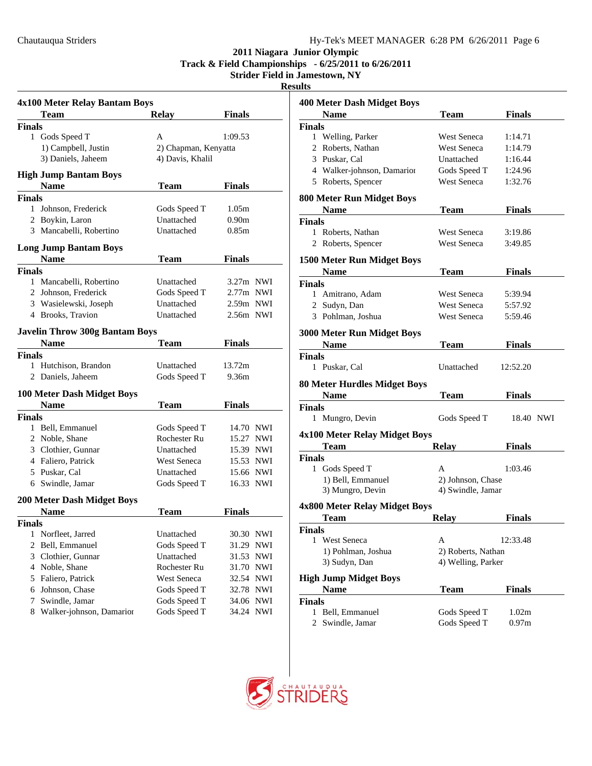**Track & Field Championships - 6/25/2011 to 6/26/2011**

**Strider Field in Jamestown, NY**

**Results**

|               | 4x100 Meter Relay Bantam Boys         |                      |                   |            |
|---------------|---------------------------------------|----------------------|-------------------|------------|
|               | <b>Team</b>                           | Relay                | Finals            |            |
| <b>Finals</b> |                                       |                      |                   |            |
|               | 1 Gods Speed T                        | A                    | 1:09.53           |            |
|               | 1) Campbell, Justin                   | 2) Chapman, Kenyatta |                   |            |
|               | 3) Daniels, Jaheem                    | 4) Davis, Khalil     |                   |            |
|               | <b>High Jump Bantam Boys</b>          |                      |                   |            |
|               | <b>Name</b>                           | Team                 | <b>Finals</b>     |            |
| <b>Finals</b> |                                       |                      |                   |            |
| $\mathbf{1}$  | Johnson, Frederick                    | Gods Speed T         | 1.05m             |            |
|               | 2 Boykin, Laron                       | Unattached           | 0.90 <sub>m</sub> |            |
|               | 3 Mancabelli, Robertino               | Unattached           | 0.85m             |            |
|               | <b>Long Jump Bantam Boys</b>          |                      |                   |            |
|               | Name                                  | Team                 | Finals            |            |
| <b>Finals</b> |                                       |                      |                   |            |
|               | 1 Mancabelli, Robertino               | Unattached           | $3.27m$ NWI       |            |
|               | 2 Johnson, Frederick                  | Gods Speed T         | 2.77m NWI         |            |
|               | 3 Wasielewski, Joseph                 | Unattached           | 2.59m NWI         |            |
|               | 4 Brooks, Travion                     | Unattached           | 2.56m NWI         |            |
|               | <b>Javelin Throw 300g Bantam Boys</b> |                      |                   |            |
|               | <b>Name</b>                           | <b>Team</b>          | <b>Finals</b>     |            |
| <b>Finals</b> |                                       |                      |                   |            |
| 1             | Hutchison, Brandon                    | Unattached           | 13.72m            |            |
|               | 2 Daniels, Jaheem                     | Gods Speed T         | 9.36m             |            |
|               | <b>100 Meter Dash Midget Boys</b>     |                      |                   |            |
|               | <b>Name</b>                           | Team                 | Finals            |            |
| <b>Finals</b> |                                       |                      |                   |            |
|               | 1 Bell, Emmanuel                      | Gods Speed T         | 14.70 NWI         |            |
|               | 2 Noble, Shane                        | Rochester Ru         | 15.27 NWI         |            |
|               | 3 Clothier, Gunnar                    | Unattached           | 15.39 NWI         |            |
|               | 4 Faliero, Patrick                    | <b>West Seneca</b>   | 15.53 NWI         |            |
|               | 5 Puskar, Cal                         | Unattached           | 15.66 NWI         |            |
|               | 6 Swindle, Jamar                      | Gods Speed T         | 16.33 NWI         |            |
|               | <b>200 Meter Dash Midget Boys</b>     |                      |                   |            |
|               | <b>Name</b>                           | <b>Team</b>          | Finals            |            |
| <b>Finals</b> |                                       |                      |                   |            |
| 1             | Norfleet, Jarred                      | Unattached           | 30.30             | <b>NWI</b> |
| 2             | Bell, Emmanuel                        | Gods Speed T         | 31.29             | NWI        |
| 3             | Clothier, Gunnar                      | Unattached           | 31.53             | NWI        |
| 4             | Noble, Shane                          | Rochester Ru         | 31.70             | NWI        |
| 5             | Faliero, Patrick                      | West Seneca          | 32.54             | NWI        |
| 6             | Johnson, Chase                        | Gods Speed T         | 32.78             | <b>NWI</b> |
| 7             | Swindle, Jamar                        | Gods Speed T         | 34.06             | <b>NWI</b> |
| 8             | Walker-johnson, Damarior              | Gods Speed T         | 34.24             | <b>NWI</b> |

| սւտ                                              |                    |               |
|--------------------------------------------------|--------------------|---------------|
| <b>400 Meter Dash Midget Boys</b>                |                    |               |
| <b>Name</b>                                      | Team               | <b>Finals</b> |
| <b>Finals</b>                                    |                    |               |
| Welling, Parker<br>$\mathbf{1}$                  | West Seneca        | 1:14.71       |
| 2 Roberts, Nathan                                | <b>West Seneca</b> | 1:14.79       |
| 3 Puskar, Cal                                    | Unattached         | 1:16.44       |
| 4 Walker-johnson, Damarior                       | Gods Speed T       | 1:24.96       |
| 5 Roberts, Spencer                               | <b>West Seneca</b> | 1:32.76       |
|                                                  |                    |               |
| <b>800 Meter Run Midget Boys</b>                 |                    |               |
| <b>Name</b>                                      | Team               | <b>Finals</b> |
| <b>Finals</b>                                    | West Seneca        |               |
| 1 Roberts, Nathan                                | <b>West Seneca</b> | 3:19.86       |
| 2 Roberts, Spencer                               |                    | 3:49.85       |
| 1500 Meter Run Midget Boys                       |                    |               |
| <b>Name</b>                                      | <b>Team</b>        | <b>Finals</b> |
| <b>Finals</b>                                    |                    |               |
| 1 Amitrano, Adam                                 | West Seneca        | 5:39.94       |
| 2 Sudyn, Dan                                     | West Seneca        | 5:57.92       |
| 3 Pohlman, Joshua                                | West Seneca        | 5:59.46       |
|                                                  |                    |               |
| <b>3000 Meter Run Midget Boys</b><br><b>Name</b> | Team               | <b>Finals</b> |
| <b>Finals</b>                                    |                    |               |
| Puskar, Cal<br>1                                 | Unattached         | 12:52.20      |
|                                                  |                    |               |
| <b>80 Meter Hurdles Midget Boys</b>              |                    |               |
| <b>Name</b>                                      | <b>Team</b>        | <b>Finals</b> |
| <b>Finals</b>                                    |                    |               |
| 1 Mungro, Devin                                  | Gods Speed T       | 18.40 NWI     |
| 4x100 Meter Relay Midget Boys                    |                    |               |
| <b>Team</b>                                      | <b>Relay</b>       | <b>Finals</b> |
| <b>Finals</b>                                    |                    |               |
| 1 Gods Speed T                                   | A                  | 1:03.46       |
| 1) Bell, Emmanuel                                | 2) Johnson, Chase  |               |
| 3) Mungro, Devin                                 | 4) Swindle, Jamar  |               |
|                                                  |                    |               |
| 4x800 Meter Relay Midget Boys                    |                    |               |
| <b>Team</b>                                      | <b>Relay</b>       | <b>Finals</b> |
| <b>Finals</b>                                    |                    |               |
| 1 West Seneca                                    | А                  | 12:33.48      |
| 1) Pohlman, Joshua                               | 2) Roberts, Nathan |               |
| 3) Sudyn, Dan                                    | 4) Welling, Parker |               |
| <b>High Jump Midget Boys</b>                     |                    |               |
| <b>Name</b>                                      | Team               | <b>Finals</b> |
| <b>Finals</b>                                    |                    |               |
| 1<br>Bell, Emmanuel                              | Gods Speed T       | 1.02m         |
| Swindle, Jamar<br>2                              | Gods Speed T       | 0.97m         |

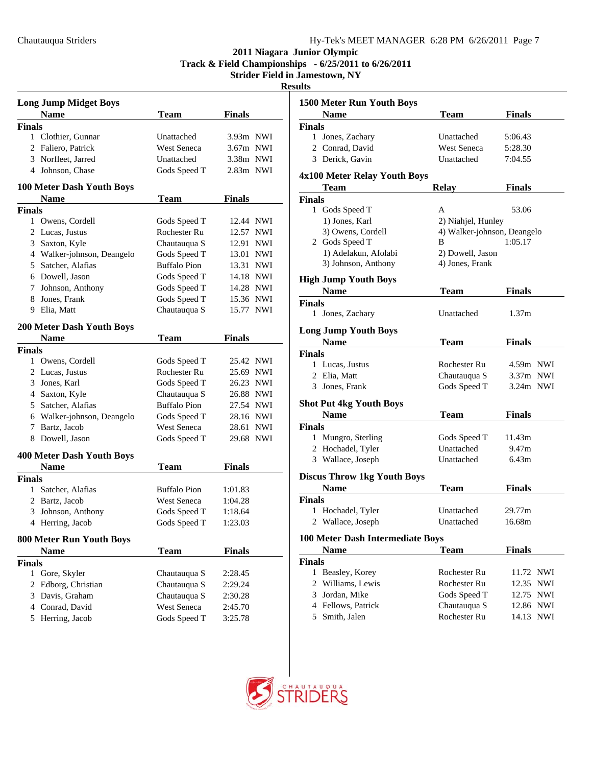**Track & Field Championships - 6/25/2011 to 6/26/2011**

| H<br>н<br>I<br>٠ | ۰.<br>١ |
|------------------|---------|
|                  |         |

| <b>Long Jump Midget Boys</b>     |                     |                     |  |  |
|----------------------------------|---------------------|---------------------|--|--|
| <b>Name</b>                      | <b>Team</b>         | <b>Finals</b>       |  |  |
| <b>Finals</b>                    |                     |                     |  |  |
| 1 Clothier, Gunnar               | Unattached          | $3.93m$ NWI         |  |  |
| 2 Faliero, Patrick               | <b>West Seneca</b>  | $3.67m$ NWI         |  |  |
| 3 Norfleet, Jarred               | Unattached          | 3.38m NWI           |  |  |
| 4 Johnson, Chase                 | Gods Speed T        | 2.83m NWI           |  |  |
| <b>100 Meter Dash Youth Boys</b> |                     |                     |  |  |
| <b>Name</b>                      | <b>Team</b>         | Finals              |  |  |
| <b>Finals</b>                    |                     |                     |  |  |
| 1 Owens, Cordell                 | Gods Speed T        | 12.44 NWI           |  |  |
| 2 Lucas, Justus                  | Rochester Ru        | 12.57<br>NWI        |  |  |
| 3 Saxton, Kyle                   | Chautauqua S        | 12.91<br>NWI        |  |  |
| 4 Walker-johnson, Deangelo       | Gods Speed T        | 13.01<br>NWI        |  |  |
| 5 Satcher, Alafias               | <b>Buffalo Pion</b> | 13.31<br><b>NWI</b> |  |  |
| 6 Dowell, Jason                  | Gods Speed T        | 14.18 NWI           |  |  |
| 7 Johnson, Anthony               | Gods Speed T        | 14.28 NWI           |  |  |
| 8 Jones, Frank                   | Gods Speed T        | 15.36 NWI           |  |  |
| 9 Elia, Matt                     | Chautauqua S        | 15.77 NWI           |  |  |
| <b>200 Meter Dash Youth Boys</b> |                     |                     |  |  |
| <b>Name</b>                      | <b>Team</b>         | Finals              |  |  |
| <b>Finals</b>                    |                     |                     |  |  |
| 1 Owens, Cordell                 | Gods Speed T        | 25.42 NWI           |  |  |
| 2 Lucas, Justus                  | Rochester Ru        | 25.69<br>NWI        |  |  |
| 3 Jones, Karl                    | Gods Speed T        | 26.23<br>NWI        |  |  |
| 4 Saxton, Kyle                   | Chautauqua S        | 26.88<br>NWI        |  |  |
| 5 Satcher, Alafias               | <b>Buffalo Pion</b> | 27.54 NWI           |  |  |
| 6 Walker-johnson, Deangelc       | Gods Speed T        | 28.16 NWI           |  |  |
| 7 Bartz, Jacob                   | West Seneca         | 28.61<br>NWI        |  |  |
| 8 Dowell, Jason                  | Gods Speed T        | NWI<br>29.68        |  |  |
| <b>400 Meter Dash Youth Boys</b> |                     |                     |  |  |
| <b>Name</b>                      | Team                | <b>Finals</b>       |  |  |
| <b>Finals</b>                    |                     |                     |  |  |
| Satcher, Alafias<br>1            | <b>Buffalo Pion</b> | 1:01.83             |  |  |
| 2 Bartz, Jacob                   | West Seneca         | 1:04.28             |  |  |
| 3 Johnson, Anthony               | Gods Speed T        | 1:18.64             |  |  |
| 4 Herring, Jacob                 | Gods Speed T        | 1:23.03             |  |  |
|                                  |                     |                     |  |  |
| <b>800 Meter Run Youth Boys</b>  |                     |                     |  |  |
| <b>Name</b>                      | <b>Team</b>         | <b>Finals</b>       |  |  |
| <b>Finals</b>                    |                     |                     |  |  |
| Gore, Skyler<br>1                | Chautauqua S        | 2:28.45             |  |  |
| Edborg, Christian<br>2           | Chautauqua S        | 2:29.24             |  |  |
| Davis, Graham<br>3               | Chautauqua S        | 2:30.28             |  |  |
| 4 Conrad, David                  | West Seneca         | 2:45.70             |  |  |
| Herring, Jacob<br>5              | Gods Speed T        | 3:25.78             |  |  |

| աւտ                                |                             |                     |
|------------------------------------|-----------------------------|---------------------|
| <b>1500 Meter Run Youth Boys</b>   |                             |                     |
| <b>Name</b>                        | Team                        | <b>Finals</b>       |
| <b>Finals</b>                      |                             |                     |
| 1 Jones, Zachary                   | Unattached                  | 5:06.43             |
| 2 Conrad, David                    | West Seneca                 | 5:28.30             |
| 3 Derick, Gavin                    | Unattached                  | 7:04.55             |
|                                    |                             |                     |
| 4x100 Meter Relay Youth Boys       |                             |                     |
| <b>Team</b>                        | <b>Relay</b>                | <b>Finals</b>       |
| <b>Finals</b>                      |                             |                     |
| 1 Gods Speed T                     | А                           | 53.06               |
| 1) Jones, Karl                     | 2) Niahjel, Hunley          |                     |
| 3) Owens, Cordell                  | 4) Walker-johnson, Deangelo |                     |
| 2 Gods Speed T                     | В                           | 1:05.17             |
| 1) Adelakun, Afolabi               | 2) Dowell, Jason            |                     |
| 3) Johnson, Anthony                | 4) Jones, Frank             |                     |
|                                    |                             |                     |
| <b>High Jump Youth Boys</b>        |                             |                     |
| <b>Name</b>                        | <b>Team</b>                 | Finals              |
| <b>Finals</b>                      |                             |                     |
| 1 Jones, Zachary                   | Unattached                  | 1.37m               |
| <b>Long Jump Youth Boys</b>        |                             |                     |
| <b>Name</b>                        | Team                        | <b>Finals</b>       |
| <b>Finals</b>                      |                             |                     |
| 1 Lucas, Justus                    | Rochester Ru                | 4.59m NWI           |
| 2 Elia, Matt                       | Chautauqua S                | $3.37m$ NWI         |
| 3 Jones, Frank                     | Gods Speed T                | $3.24m$ NWI         |
|                                    |                             |                     |
| <b>Shot Put 4kg Youth Boys</b>     |                             |                     |
| <b>Name</b>                        | <b>Team</b>                 | <b>Finals</b>       |
| <b>Finals</b>                      |                             |                     |
| 1 Mungro, Sterling                 | Gods Speed T                | 11.43m              |
| 2 Hochadel, Tyler                  | Unattached                  | 9.47m               |
| 3 Wallace, Joseph                  | Unattached                  | 6.43m               |
|                                    |                             |                     |
| <b>Discus Throw 1kg Youth Boys</b> |                             |                     |
| <b>Name</b>                        | <b>Team</b>                 | <b>Finals</b>       |
| <b>Finals</b>                      |                             |                     |
| 1 Hochadel, Tyler                  | Unattached                  | 29.77m              |
| 2 Wallace, Joseph                  | Unattached                  | 16.68m              |
| 100 Meter Dash Intermediate Boys   |                             |                     |
| Name                               | <b>Team</b>                 | <b>Finals</b>       |
| <b>Finals</b>                      |                             |                     |
| $\mathbf{1}$<br>Beasley, Korey     | Rochester Ru                | 11.72 NWI           |
| 2 Williams, Lewis                  | Rochester Ru                | 12.35<br><b>NWI</b> |
|                                    |                             |                     |
| 3 Jordan, Mike                     | Gods Speed T                | 12.75<br><b>NWI</b> |
| 4 Fellows, Patrick                 | Chautauqua S                | 12.86<br>NWI        |
| 5 Smith, Jalen                     | Rochester Ru                | 14.13<br><b>NWI</b> |

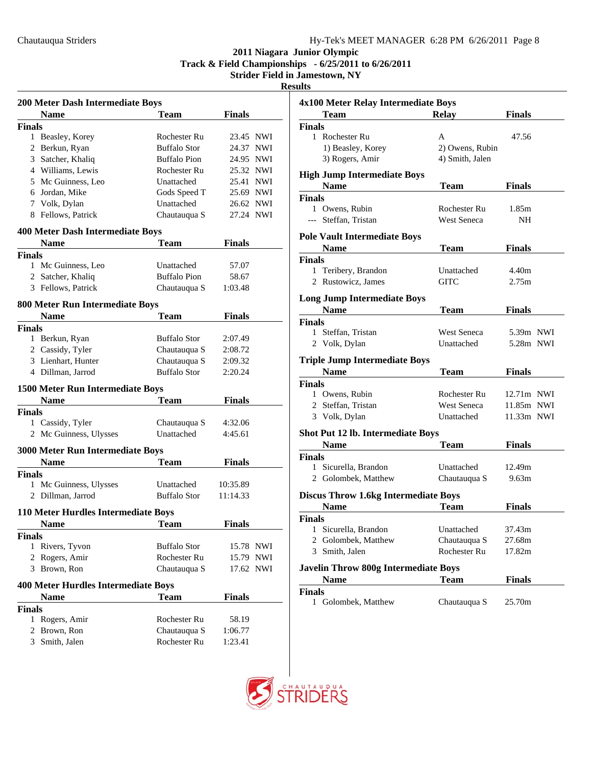**Track & Field Championships - 6/25/2011 to 6/26/2011**

| л.<br>۰. | н<br>ı |
|----------|--------|
|          |        |

| <b>200 Meter Dash Intermediate Boys</b>                |                     |               |  |  |
|--------------------------------------------------------|---------------------|---------------|--|--|
| <b>Name</b>                                            | <b>Team</b>         | <b>Finals</b> |  |  |
| <b>Finals</b>                                          |                     |               |  |  |
| 1 Beasley, Korey                                       | Rochester Ru        | 23.45 NWI     |  |  |
| 2 Berkun, Ryan                                         | <b>Buffalo Stor</b> | 24.37<br>NWI  |  |  |
| 3 Satcher, Khaliq                                      | <b>Buffalo Pion</b> | 24.95 NWI     |  |  |
| 4 Williams, Lewis                                      | Rochester Ru        | 25.32 NWI     |  |  |
| 5 Mc Guinness, Leo                                     | Unattached          | 25.41 NWI     |  |  |
| 6 Jordan, Mike                                         | Gods Speed T        | 25.69 NWI     |  |  |
| 7 Volk, Dylan                                          | Unattached          | 26.62 NWI     |  |  |
| 8 Fellows, Patrick                                     | Chautauqua S        | 27.24 NWI     |  |  |
| <b>400 Meter Dash Intermediate Boys</b>                |                     |               |  |  |
| <b>Name</b>                                            | Team                | Finals        |  |  |
| <b>Finals</b>                                          |                     |               |  |  |
| 1 Mc Guinness, Leo                                     | Unattached          | 57.07         |  |  |
| 2 Satcher, Khaliq                                      | <b>Buffalo Pion</b> | 58.67         |  |  |
| 3 Fellows, Patrick                                     | Chautauqua S        | 1:03.48       |  |  |
| <b>800 Meter Run Intermediate Boys</b>                 |                     |               |  |  |
| Name                                                   | <b>Team</b>         | <b>Finals</b> |  |  |
| <b>Finals</b>                                          |                     |               |  |  |
| 1 Berkun, Ryan                                         | <b>Buffalo Stor</b> | 2:07.49       |  |  |
| 2 Cassidy, Tyler                                       | Chautauqua S        | 2:08.72       |  |  |
| 3 Lienhart, Hunter                                     | Chautauqua S        | 2:09.32       |  |  |
| 4 Dillman, Jarrod                                      | <b>Buffalo Stor</b> | 2:20.24       |  |  |
| <b>1500 Meter Run Intermediate Boys</b>                |                     |               |  |  |
| <b>Name</b>                                            | <b>Team</b>         | <b>Finals</b> |  |  |
| <b>Finals</b>                                          |                     |               |  |  |
| 1 Cassidy, Tyler                                       | Chautauqua S        | 4:32.06       |  |  |
| 2 Mc Guinness, Ulysses                                 | Unattached          | 4:45.61       |  |  |
|                                                        |                     |               |  |  |
| <b>3000 Meter Run Intermediate Boys</b><br><b>Name</b> | <b>Team</b>         | Finals        |  |  |
|                                                        |                     |               |  |  |
| <b>Finals</b><br>Mc Guinness, Ulysses<br>1             | Unattached          | 10:35.89      |  |  |
| 2 Dillman, Jarrod                                      | <b>Buffalo Stor</b> | 11:14.33      |  |  |
|                                                        |                     |               |  |  |
| 110 Meter Hurdles Intermediate Boys                    |                     |               |  |  |
| Name                                                   | Team                | <b>Finals</b> |  |  |
| <b>Finals</b>                                          |                     |               |  |  |
| Rivers, Tyvon<br>1                                     | <b>Buffalo Stor</b> | 15.78 NWI     |  |  |
| Rogers, Amir<br>2                                      | Rochester Ru        | 15.79 NWI     |  |  |
| 3 Brown, Ron                                           | Chautauqua S        | 17.62 NWI     |  |  |
| <b>400 Meter Hurdles Intermediate Boys</b>             |                     |               |  |  |
| <b>Name</b>                                            | <b>Team</b>         | <b>Finals</b> |  |  |
| <b>Finals</b>                                          |                     |               |  |  |
| $\mathbf{1}$<br>Rogers, Amir                           | Rochester Ru        | 58.19         |  |  |
| Brown, Ron<br>$\overline{2}$                           | Chautauqua S        | 1:06.77       |  |  |
| 3<br>Smith, Jalen                                      | Rochester Ru        | 1:23.41       |  |  |

| 4x100 Meter Relay Intermediate Boys         |                    |               |  |  |
|---------------------------------------------|--------------------|---------------|--|--|
| <b>Team</b>                                 | <b>Relay</b>       | <b>Finals</b> |  |  |
| <b>Finals</b>                               |                    |               |  |  |
| 1 Rochester Ru                              | А                  | 47.56         |  |  |
| 1) Beasley, Korey                           | 2) Owens, Rubin    |               |  |  |
| 3) Rogers, Amir                             | 4) Smith, Jalen    |               |  |  |
| <b>High Jump Intermediate Boys</b>          |                    |               |  |  |
| <b>Name</b>                                 | Team               | <b>Finals</b> |  |  |
| <b>Finals</b>                               |                    |               |  |  |
| 1 Owens, Rubin                              | Rochester Ru       | 1.85m         |  |  |
| --- Steffan, Tristan                        | <b>West Seneca</b> | NH            |  |  |
|                                             |                    |               |  |  |
| <b>Pole Vault Intermediate Boys</b>         |                    |               |  |  |
| <b>Name</b>                                 | <b>Team</b>        | Finals        |  |  |
| <b>Finals</b>                               |                    |               |  |  |
| 1 Teribery, Brandon                         | Unattached         | 4.40m         |  |  |
| 2 Rustowicz, James                          | GITC               | 2.75m         |  |  |
| <b>Long Jump Intermediate Boys</b>          |                    |               |  |  |
| <b>Name</b>                                 | <b>Team</b>        | <b>Finals</b> |  |  |
| <b>Finals</b>                               |                    |               |  |  |
| 1 Steffan, Tristan                          | West Seneca        | 5.39m NWI     |  |  |
| 2 Volk, Dylan                               | Unattached         | 5.28m NWI     |  |  |
| <b>Triple Jump Intermediate Boys</b>        |                    |               |  |  |
| <b>Name</b>                                 | Team               | <b>Finals</b> |  |  |
| <b>Finals</b>                               |                    |               |  |  |
| 1 Owens, Rubin                              | Rochester Ru       | 12.71m NWI    |  |  |
| 2 Steffan, Tristan                          | <b>West Seneca</b> | 11.85m NWI    |  |  |
|                                             |                    |               |  |  |
| 3 Volk, Dylan                               | Unattached         | 11.33m NWI    |  |  |
| <b>Shot Put 12 lb. Intermediate Boys</b>    |                    |               |  |  |
| <b>Name</b>                                 | Team               | Finals        |  |  |
| <b>Finals</b>                               |                    |               |  |  |
| 1 Sicurella, Brandon                        | Unattached         | 12.49m        |  |  |
| 2 Golombek, Matthew                         | Chautauqua S       | 9.63m         |  |  |
| <b>Discus Throw 1.6kg Intermediate Boys</b> |                    |               |  |  |
| <b>Name</b>                                 | <b>Team</b>        | <b>Finals</b> |  |  |
| Finals                                      |                    |               |  |  |
| Sicurella, Brandon<br>1                     | Unattached         | 37.43m        |  |  |
| 2 Golombek, Matthew                         | Chautauqua S       | 27.68m        |  |  |
| 3 Smith, Jalen                              | Rochester Ru       | 17.82m        |  |  |
| <b>Javelin Throw 800g Intermediate Boys</b> |                    |               |  |  |
| Name                                        | Team               | <b>Finals</b> |  |  |
| <b>Finals</b>                               |                    |               |  |  |
| 1 Golombek, Matthew                         | Chautauqua S       | 25.70m        |  |  |
|                                             |                    |               |  |  |

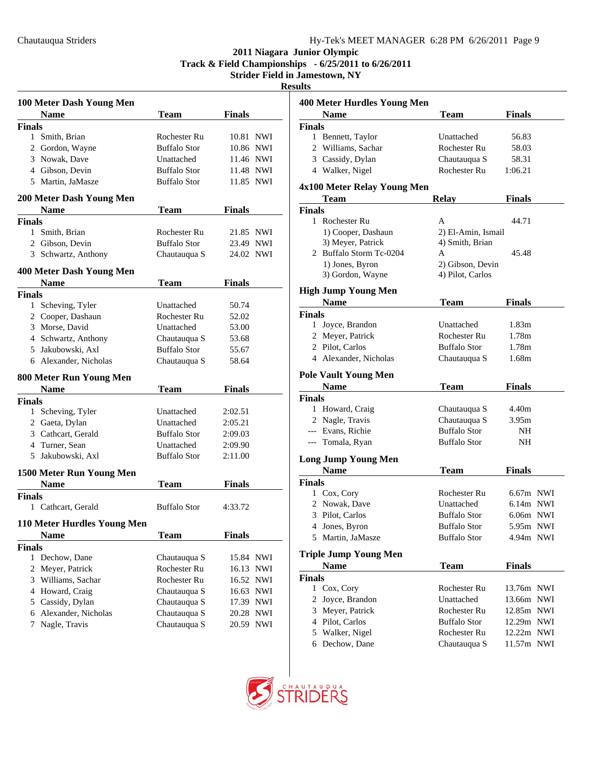**Track & Field Championships - 6/25/2011 to 6/26/2011**

| - |
|---|
|   |

|                | 100 Meter Dash Young Men    |                     |                     |
|----------------|-----------------------------|---------------------|---------------------|
|                | <b>Name</b>                 | <b>Team</b>         | <b>Finals</b>       |
| <b>Finals</b>  |                             |                     |                     |
|                | 1 Smith, Brian              | Rochester Ru        | 10.81 NWI           |
|                | 2 Gordon, Wayne             | <b>Buffalo Stor</b> | 10.86 NWI           |
|                | 3 Nowak, Dave               | Unattached          | 11.46 NWI           |
|                | 4 Gibson, Devin             | <b>Buffalo Stor</b> | 11.48 NWI           |
|                | 5 Martin, JaMasze           | <b>Buffalo Stor</b> | 11.85 NWI           |
|                | 200 Meter Dash Young Men    |                     |                     |
|                | <b>Name</b>                 | Team                | <b>Finals</b>       |
| <b>Finals</b>  | 1 Smith, Brian              | Rochester Ru        | 21.85 NWI           |
|                | 2 Gibson, Devin             | <b>Buffalo Stor</b> | 23.49 NWI           |
|                | 3 Schwartz, Anthony         |                     | 24.02 NWI           |
|                |                             | Chautauqua S        |                     |
|                | 400 Meter Dash Young Men    |                     |                     |
|                | <b>Name</b>                 | <b>Team</b>         | <b>Finals</b>       |
| <b>Finals</b>  |                             |                     |                     |
| $\mathbf{1}$   | Scheving, Tyler             | Unattached          | 50.74               |
|                | 2 Cooper, Dashaun           | Rochester Ru        | 52.02               |
|                | 3 Morse, David              | Unattached          | 53.00               |
|                | 4 Schwartz, Anthony         | Chautauqua S        | 53.68               |
|                | 5 Jakubowski, Axl           | <b>Buffalo Stor</b> | 55.67               |
|                | 6 Alexander, Nicholas       | Chautauqua S        | 58.64               |
|                | 800 Meter Run Young Men     |                     |                     |
|                | <b>Name</b>                 | <b>Team</b>         | <b>Finals</b>       |
| <b>Finals</b>  |                             |                     |                     |
|                | 1 Scheving, Tyler           | Unattached          | 2:02.51             |
|                | 2 Gaeta, Dylan              | Unattached          | 2:05.21             |
|                | 3 Cathcart, Gerald          | <b>Buffalo Stor</b> | 2:09.03             |
|                | 4 Turner, Sean              | Unattached          | 2:09.90             |
|                | 5 Jakubowski, Axl           | <b>Buffalo Stor</b> | 2:11.00             |
|                | 1500 Meter Run Young Men    |                     |                     |
|                | <b>Name</b>                 | Team                | <b>Finals</b>       |
| Finals         |                             |                     |                     |
|                | 1 Cathcart, Gerald          | <b>Buffalo Stor</b> | 4:33.72             |
|                | 110 Meter Hurdles Young Men |                     |                     |
|                | <b>Name</b>                 | Team                | <b>Finals</b>       |
| <b>Finals</b>  |                             |                     |                     |
|                | 1 Dechow, Dane              | Chautauqua S        | 15.84 NWI           |
| $\overline{2}$ | Meyer, Patrick              | Rochester Ru        | 16.13<br><b>NWI</b> |
| 3              | Williams, Sachar            | Rochester Ru        | 16.52<br><b>NWI</b> |
| 4              | Howard, Craig               | Chautauqua S        | NWI<br>16.63        |
| 5              | Cassidy, Dylan              | Chautauqua S        | 17.39 NWI           |
| 6              | Alexander, Nicholas         | Chautauqua S        | 20.28<br><b>NWI</b> |
| 7              | Nagle, Travis               | Chautauqua S        | NWI<br>20.59        |

|               | <b>400 Meter Hurdles Young Men</b>           |                                      |                          |  |
|---------------|----------------------------------------------|--------------------------------------|--------------------------|--|
|               | <b>Name</b>                                  | Team                                 | Finals                   |  |
| <b>Finals</b> |                                              |                                      |                          |  |
| 1             | Bennett, Taylor                              | Unattached                           | 56.83                    |  |
|               | 2 Williams, Sachar                           | Rochester Ru                         | 58.03                    |  |
|               | 3 Cassidy, Dylan                             | Chautauqua S                         | 58.31                    |  |
|               | 4 Walker, Nigel                              | Rochester Ru                         | 1:06.21                  |  |
|               |                                              |                                      |                          |  |
|               | 4x100 Meter Relay Young Men                  |                                      |                          |  |
|               | Team                                         | <b>Relay</b>                         | Finals                   |  |
| <b>Finals</b> | 1 Rochester Ru                               | A                                    |                          |  |
|               |                                              |                                      | 44.71                    |  |
|               | 1) Cooper, Dashaun                           | 2) El-Amin, Ismail                   |                          |  |
|               | 3) Meyer, Patrick<br>2 Buffalo Storm Tc-0204 | 4) Smith, Brian<br>A                 | 45.48                    |  |
|               |                                              |                                      |                          |  |
|               | 1) Jones, Byron<br>3) Gordon, Wayne          | 2) Gibson, Devin<br>4) Pilot, Carlos |                          |  |
|               |                                              |                                      |                          |  |
|               | <b>High Jump Young Men</b>                   |                                      |                          |  |
|               | <b>Name</b>                                  | Team                                 | Finals                   |  |
| <b>Finals</b> |                                              |                                      |                          |  |
|               | 1 Joyce, Brandon                             | Unattached                           | 1.83m                    |  |
|               | 2 Meyer, Patrick                             | Rochester Ru                         | 1.78m                    |  |
|               | 2 Pilot, Carlos                              | <b>Buffalo Stor</b>                  | 1.78m                    |  |
|               | 4 Alexander, Nicholas                        | Chautauqua S                         | 1.68m                    |  |
|               | <b>Pole Vault Young Men</b>                  |                                      |                          |  |
|               | <b>Name</b>                                  | Team                                 | <b>Finals</b>            |  |
| <b>Finals</b> |                                              |                                      |                          |  |
| 1             | Howard, Craig                                | Chautauqua S                         | 4.40m                    |  |
|               | 2 Nagle, Travis                              | Chautauqua S                         | 3.95m                    |  |
|               | --- Evans, Richie                            | <b>Buffalo Stor</b>                  | NH                       |  |
|               | --- Tomala, Ryan                             | <b>Buffalo Stor</b>                  | NH                       |  |
|               |                                              |                                      |                          |  |
|               | <b>Long Jump Young Men</b>                   |                                      |                          |  |
|               | <b>Name</b>                                  | <b>Team</b>                          | <b>Finals</b>            |  |
| <b>Finals</b> |                                              |                                      |                          |  |
|               |                                              |                                      |                          |  |
|               | 1 Cox, Cory                                  | Rochester Ru                         | $6.67m$ NWI              |  |
|               | 2 Nowak, Dave                                | Unattached                           | $6.14m$ NWI              |  |
|               | 3 Pilot, Carlos                              | <b>Buffalo Stor</b>                  | $6.06m$ NWI              |  |
|               |                                              | <b>Buffalo Stor</b>                  | 5.95m NWI                |  |
| 5.            | 4 Jones, Byron<br>Martin, JaMasze            | <b>Buffalo Stor</b>                  | 4.94m NWI                |  |
|               |                                              |                                      |                          |  |
|               | <b>Triple Jump Young Men</b>                 |                                      |                          |  |
|               | <b>Name</b>                                  | <b>Team</b>                          | <b>Finals</b>            |  |
| <b>Finals</b> |                                              |                                      |                          |  |
|               | 1 Cox, Cory                                  | Rochester Ru                         | 13.76m NWI               |  |
| 2             | Joyce, Brandon                               | Unattached                           | 13.66m NWI               |  |
|               | 3 Meyer, Patrick                             | Rochester Ru                         | 12.85m NWI               |  |
|               | 4 Pilot, Carlos                              | <b>Buffalo Stor</b>                  | 12.29m NWI               |  |
|               | 5 Walker, Nigel<br>6 Dechow, Dane            | Rochester Ru<br>Chautauqua S         | 12.22m NWI<br>11.57m NWI |  |